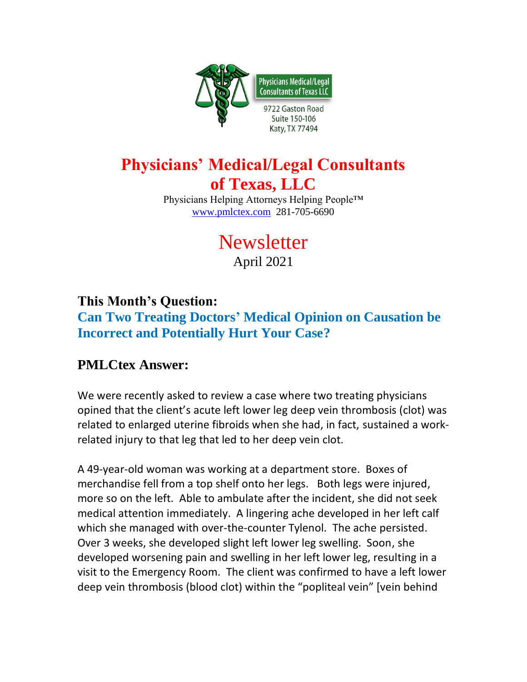

## **Physicians' Medical/Legal Consultants of Texas, LLC**

Physicians Helping Attorneys Helping People™ [www.pmlctex.com](http://www.pmlctex.com/) 281-705-6690

# **Newsletter** April 2021

#### **This Month's Question:**

**Can Two Treating Doctors' Medical Opinion on Causation be Incorrect and Potentially Hurt Your Case?**

#### **PMLCtex Answer:**

We were recently asked to review a case where two treating physicians opined that the client's acute left lower leg deep vein thrombosis (clot) was related to enlarged uterine fibroids when she had, in fact, sustained a workrelated injury to that leg that led to her deep vein clot.

A 49-year-old woman was working at a department store. Boxes of merchandise fell from a top shelf onto her legs. Both legs were injured, more so on the left. Able to ambulate after the incident, she did not seek medical attention immediately. A lingering ache developed in her left calf which she managed with over-the-counter Tylenol. The ache persisted. Over 3 weeks, she developed slight left lower leg swelling. Soon, she developed worsening pain and swelling in her left lower leg, resulting in a visit to the Emergency Room. The client was confirmed to have a left lower deep vein thrombosis (blood clot) within the "popliteal vein" [vein behind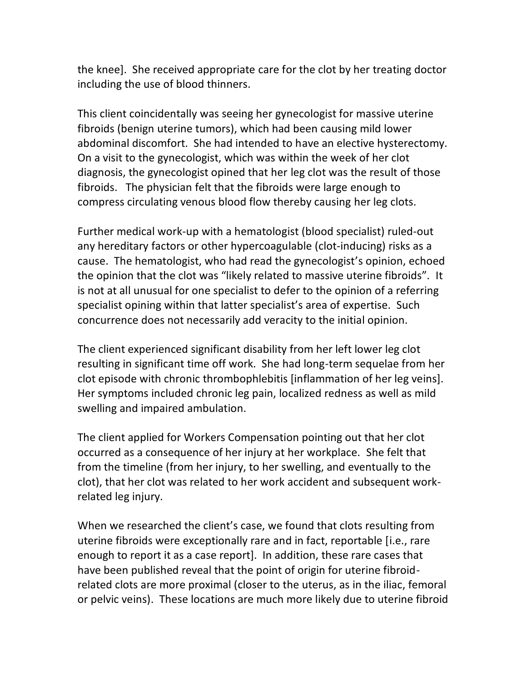the knee]. She received appropriate care for the clot by her treating doctor including the use of blood thinners.

This client coincidentally was seeing her gynecologist for massive uterine fibroids (benign uterine tumors), which had been causing mild lower abdominal discomfort. She had intended to have an elective hysterectomy. On a visit to the gynecologist, which was within the week of her clot diagnosis, the gynecologist opined that her leg clot was the result of those fibroids. The physician felt that the fibroids were large enough to compress circulating venous blood flow thereby causing her leg clots.

Further medical work-up with a hematologist (blood specialist) ruled-out any hereditary factors or other hypercoagulable (clot-inducing) risks as a cause. The hematologist, who had read the gynecologist's opinion, echoed the opinion that the clot was "likely related to massive uterine fibroids". It is not at all unusual for one specialist to defer to the opinion of a referring specialist opining within that latter specialist's area of expertise. Such concurrence does not necessarily add veracity to the initial opinion.

The client experienced significant disability from her left lower leg clot resulting in significant time off work. She had long-term sequelae from her clot episode with chronic thrombophlebitis [inflammation of her leg veins]. Her symptoms included chronic leg pain, localized redness as well as mild swelling and impaired ambulation.

The client applied for Workers Compensation pointing out that her clot occurred as a consequence of her injury at her workplace. She felt that from the timeline (from her injury, to her swelling, and eventually to the clot), that her clot was related to her work accident and subsequent workrelated leg injury.

When we researched the client's case, we found that clots resulting from uterine fibroids were exceptionally rare and in fact, reportable [i.e., rare enough to report it as a case report]. In addition, these rare cases that have been published reveal that the point of origin for uterine fibroidrelated clots are more proximal (closer to the uterus, as in the iliac, femoral or pelvic veins). These locations are much more likely due to uterine fibroid